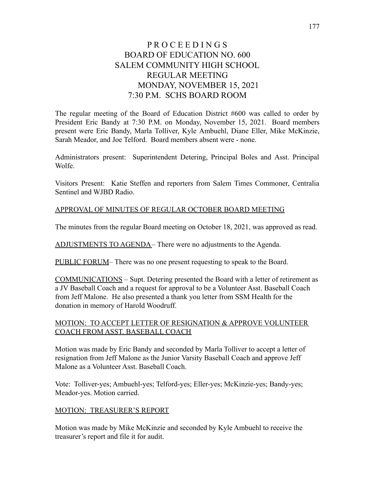# P R O C E E D I N G S BOARD OF EDUCATION NO. 600 SALEM COMMUNITY HIGH SCHOOL REGULAR MEETING MONDAY, NOVEMBER 15, 2021 7:30 P.M. SCHS BOARD ROOM

The regular meeting of the Board of Education District #600 was called to order by President Eric Bandy at 7:30 P.M. on Monday, November 15, 2021. Board members present were Eric Bandy, Marla Tolliver, Kyle Ambuehl, Diane Eller, Mike McKinzie, Sarah Meador, and Joe Telford. Board members absent were - none.

Administrators present: Superintendent Detering, Principal Boles and Asst. Principal Wolfe.

Visitors Present: Katie Steffen and reporters from Salem Times Commoner, Centralia Sentinel and WJBD Radio.

# APPROVAL OF MINUTES OF REGULAR OCTOBER BOARD MEETING

The minutes from the regular Board meeting on October 18, 2021, was approved as read.

ADJUSTMENTS TO AGENDA– There were no adjustments to the Agenda.

PUBLIC FORUM– There was no one present requesting to speak to the Board.

COMMUNICATIONS – Supt. Detering presented the Board with a letter of retirement as a JV Baseball Coach and a request for approval to be a Volunteer Asst. Baseball Coach from Jeff Malone. He also presented a thank you letter from SSM Health for the donation in memory of Harold Woodruff.

# MOTION: TO ACCEPT LETTER OF RESIGNATION & APPROVE VOLUNTEER COACH FROM ASST. BASEBALL COACH

Motion was made by Eric Bandy and seconded by Marla Tolliver to accept a letter of resignation from Jeff Malone as the Junior Varsity Baseball Coach and approve Jeff Malone as a Volunteer Asst. Baseball Coach.

Vote: Tolliver-yes; Ambuehl-yes; Telford-yes; Eller-yes; McKinzie-yes; Bandy-yes; Meador-yes. Motion carried.

#### MOTION: TREASURER'S REPORT

Motion was made by Mike McKinzie and seconded by Kyle Ambuehl to receive the treasurer's report and file it for audit.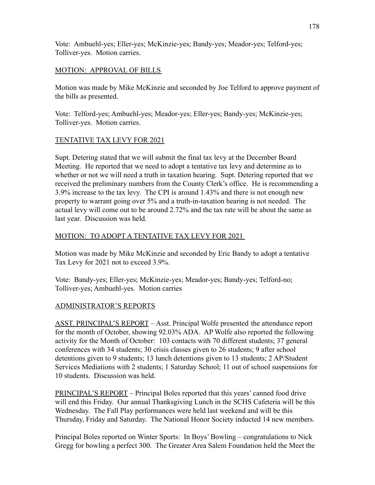Vote: Ambuehl-yes; Eller-yes; McKinzie-yes; Bandy-yes; Meador-yes; Telford-yes; Tolliver-yes. Motion carries.

### MOTION: APPROVAL OF BILLS

Motion was made by Mike McKinzie and seconded by Joe Telford to approve payment of the bills as presented.

Vote: Telford-yes; Ambuehl-yes; Meador-yes; Eller-yes; Bandy-yes; McKinzie-yes; Tolliver-yes. Motion carries.

# TENTATIVE TAX LEVY FOR 2021

Supt. Detering stated that we will submit the final tax levy at the December Board Meeting. He reported that we need to adopt a tentative tax levy and determine as to whether or not we will need a truth in taxation hearing. Supt. Detering reported that we received the preliminary numbers from the County Clerk's office. He is recommending a 3.9% increase to the tax levy. The CPI is around 1.43% and there is not enough new property to warrant going over 5% and a truth-in-taxation hearing is not needed. The actual levy will come out to be around 2.72% and the tax rate will be about the same as last year. Discussion was held.

#### MOTION: TO ADOPT A TENTATIVE TAX LEVY FOR 2021

Motion was made by Mike McKinzie and seconded by Eric Bandy to adopt a tentative Tax Levy for 2021 not to exceed 3.9%.

Vote: Bandy-yes; Eller-yes; McKinzie-yes; Meador-yes; Bandy-yes; Telford-no; Tolliver-yes; Ambuehl-yes. Motion carries

# ADMINISTRATOR'S REPORTS

ASST. PRINCIPAL'S REPORT – Asst. Principal Wolfe presented the attendance report for the month of October, showing 92.03% ADA. AP Wolfe also reported the following activity for the Month of October: 103 contacts with 70 different students; 37 general conferences with 34 students; 30 crisis classes given to 26 students; 9 after school detentions given to 9 students; 13 lunch detentions given to 13 students; 2 AP/Student Services Mediations with 2 students; 1 Saturday School; 11 out of school suspensions for 10 students. Discussion was held.

PRINCIPAL'S REPORT – Principal Boles reported that this years' canned food drive will end this Friday. Our annual Thanksgiving Lunch in the SCHS Cafeteria will be this Wednesday. The Fall Play performances were held last weekend and will be this Thursday, Friday and Saturday. The National Honor Society inducted 14 new members.

Principal Boles reported on Winter Sports: In Boys' Bowling – congratulations to Nick Gregg for bowling a perfect 300. The Greater Area Salem Foundation held the Meet the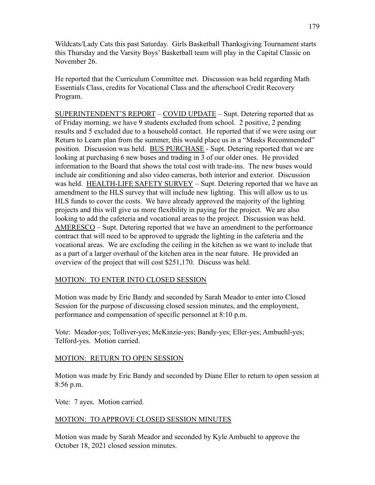Wildcats/Lady Cats this past Saturday. Girls Basketball Thanksgiving Tournament starts this Thursday and the Varsity Boys' Basketball team will play in the Capital Classic on November 26.

He reported that the Curriculum Committee met. Discussion was held regarding Math Essentials Class, credits for Vocational Class and the afterschool Credit Recovery Program.

SUPERINTENDENT'S REPORT – COVID UPDATE – Supt. Detering reported that as of Friday morning, we have 9 students excluded from school. 2 positive, 2 pending results and 5 excluded due to a household contact. He reported that if we were using our Return to Learn plan from the summer, this would place us in a "Masks Recommended" position. Discussion was held. BUS PURCHASE - Supt. Detering reported that we are looking at purchasing 6 new buses and trading in 3 of our older ones. He provided information to the Board that shows the total cost with trade-ins. The new buses would include air conditioning and also video cameras, both interior and exterior. Discussion was held. HEALTH-LIFE SAFETY SURVEY – Supt. Detering reported that we have an amendment to the HLS survey that will include new lighting. This will allow us to us HLS funds to cover the costs. We have already approved the majority of the lighting projects and this will give us more flexibility in paying for the project. We are also looking to add the cafeteria and vocational areas to the project. Discussion was held. AMERESCO – Supt. Detering reported that we have an amendment to the performance contract that will need to be approved to upgrade the lighting in the cafeteria and the vocational areas. We are excluding the ceiling in the kitchen as we want to include that as a part of a larger overhaul of the kitchen area in the near future. He provided an overview of the project that will cost \$251,170. Discuss was held.

# MOTION: TO ENTER INTO CLOSED SESSION

Motion was made by Eric Bandy and seconded by Sarah Meador to enter into Closed Session for the purpose of discussing closed session minutes, and the employment, performance and compensation of specific personnel at 8:10 p.m.

Vote: Meador-yes; Tolliver-yes; McKinzie-yes; Bandy-yes; Eller-yes; Ambuehl-yes; Telford-yes. Motion carried.

#### MOTION: RETURN TO OPEN SESSION

Motion was made by Eric Bandy and seconded by Diane Eller to return to open session at 8:56 p.m.

Vote: 7 ayes. Motion carried.

#### MOTION: TO APPROVE CLOSED SESSION MINUTES

Motion was made by Sarah Meador and seconded by Kyle Ambuehl to approve the October 18, 2021 closed session minutes.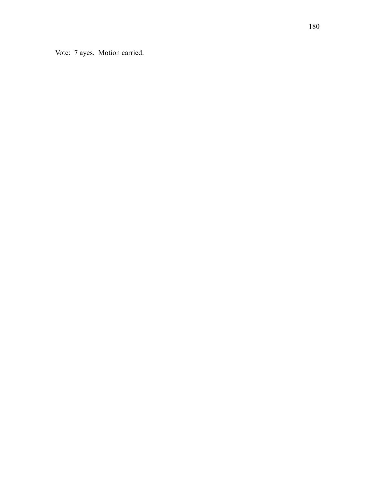Vote: 7 ayes. Motion carried.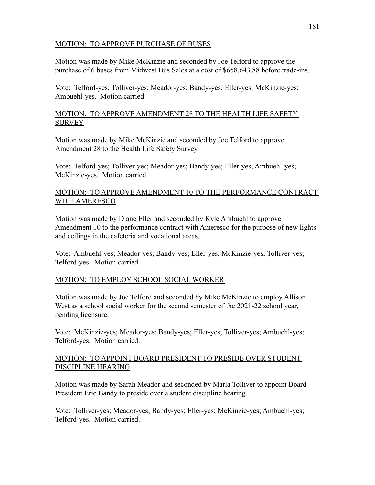#### MOTION: TO APPROVE PURCHASE OF BUSES

Motion was made by Mike McKinzie and seconded by Joe Telford to approve the purchase of 6 buses from Midwest Bus Sales at a cost of \$658,643.88 before trade-ins.

Vote: Telford-yes; Tolliver-yes; Meador-yes; Bandy-yes; Eller-yes; McKinzie-yes; Ambuehl-yes. Motion carried.

#### MOTION: TO APPROVE AMENDMENT 28 TO THE HEALTH LIFE SAFETY **SURVEY**

Motion was made by Mike McKinzie and seconded by Joe Telford to approve Amendment 28 to the Health Life Safety Survey.

Vote: Telford-yes; Tolliver-yes; Meador-yes; Bandy-yes; Eller-yes; Ambuehl-yes; McKinzie-yes. Motion carried.

### MOTION: TO APPROVE AMENDMENT 10 TO THE PERFORMANCE CONTRACT WITH AMERESCO

Motion was made by Diane Eller and seconded by Kyle Ambuehl to approve Amendment 10 to the performance contract with Ameresco for the purpose of new lights and ceilings in the cafeteria and vocational areas.

Vote: Ambuehl-yes; Meador-yes; Bandy-yes; Eller-yes; McKinzie-yes; Tolliver-yes; Telford-yes. Motion carried.

#### MOTION: TO EMPLOY SCHOOL SOCIAL WORKER

Motion was made by Joe Telford and seconded by Mike McKinzie to employ Allison West as a school social worker for the second semester of the 2021-22 school year, pending licensure.

Vote: McKinzie-yes; Meador-yes; Bandy-yes; Eller-yes; Tolliver-yes; Ambuehl-yes; Telford-yes. Motion carried.

#### MOTION: TO APPOINT BOARD PRESIDENT TO PRESIDE OVER STUDENT DISCIPLINE HEARING

Motion was made by Sarah Meador and seconded by Marla Tolliver to appoint Board President Eric Bandy to preside over a student discipline hearing.

Vote: Tolliver-yes; Meador-yes; Bandy-yes; Eller-yes; McKinzie-yes; Ambuehl-yes; Telford-yes. Motion carried.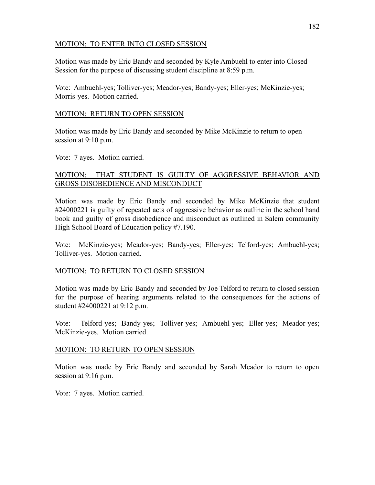#### MOTION: TO ENTER INTO CLOSED SESSION

Motion was made by Eric Bandy and seconded by Kyle Ambuehl to enter into Closed Session for the purpose of discussing student discipline at 8:59 p.m.

Vote: Ambuehl-yes; Tolliver-yes; Meador-yes; Bandy-yes; Eller-yes; McKinzie-yes; Morris-yes. Motion carried.

#### MOTION: RETURN TO OPEN SESSION

Motion was made by Eric Bandy and seconded by Mike McKinzie to return to open session at 9:10 p.m.

Vote: 7 ayes. Motion carried.

#### MOTION: THAT STUDENT IS GUILTY OF AGGRESSIVE BEHAVIOR AND GROSS DISOBEDIENCE AND MISCONDUCT

Motion was made by Eric Bandy and seconded by Mike McKinzie that student #24000221 is guilty of repeated acts of aggressive behavior as outline in the school hand book and guilty of gross disobedience and misconduct as outlined in Salem community High School Board of Education policy #7.190.

Vote: McKinzie-yes; Meador-yes; Bandy-yes; Eller-yes; Telford-yes; Ambuehl-yes; Tolliver-yes. Motion carried.

#### MOTION: TO RETURN TO CLOSED SESSION

Motion was made by Eric Bandy and seconded by Joe Telford to return to closed session for the purpose of hearing arguments related to the consequences for the actions of student #24000221 at 9:12 p.m.

Vote: Telford-yes; Bandy-yes; Tolliver-yes; Ambuehl-yes; Eller-yes; Meador-yes; McKinzie-yes. Motion carried.

#### MOTION: TO RETURN TO OPEN SESSION

Motion was made by Eric Bandy and seconded by Sarah Meador to return to open session at 9:16 p.m.

Vote: 7 ayes. Motion carried.